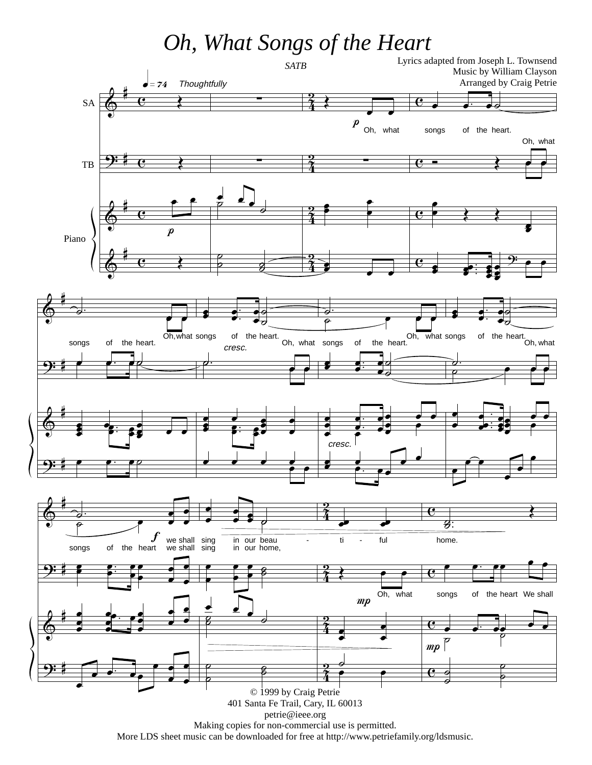## *Oh, What Songs of the Heart*



More LDS sheet music can be downloaded for free at http://www.petriefamily.org/ldsmusic.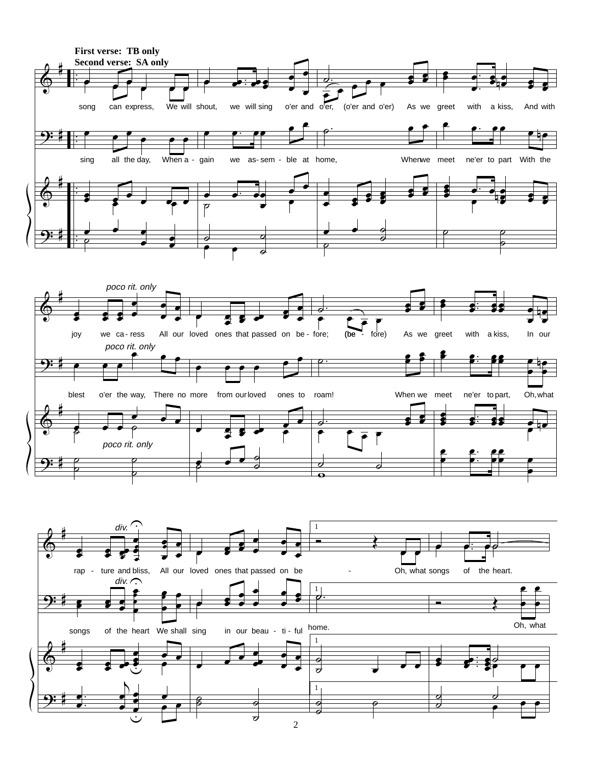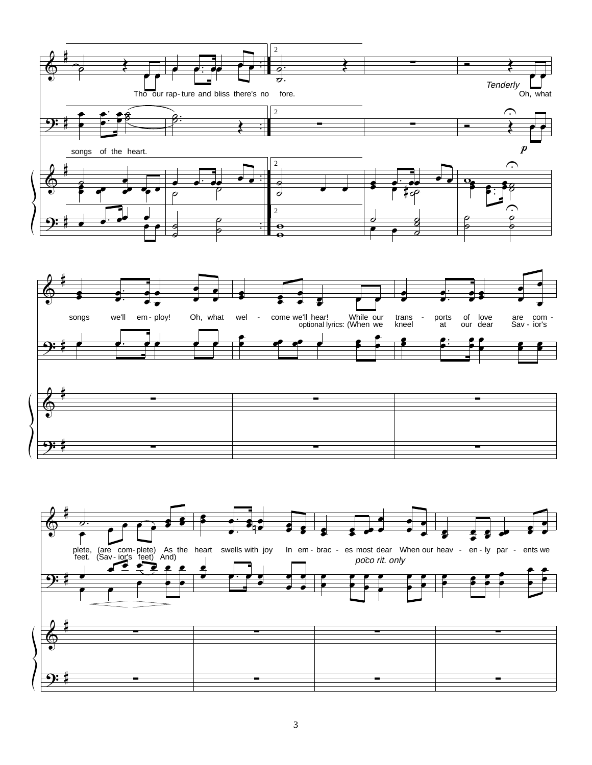

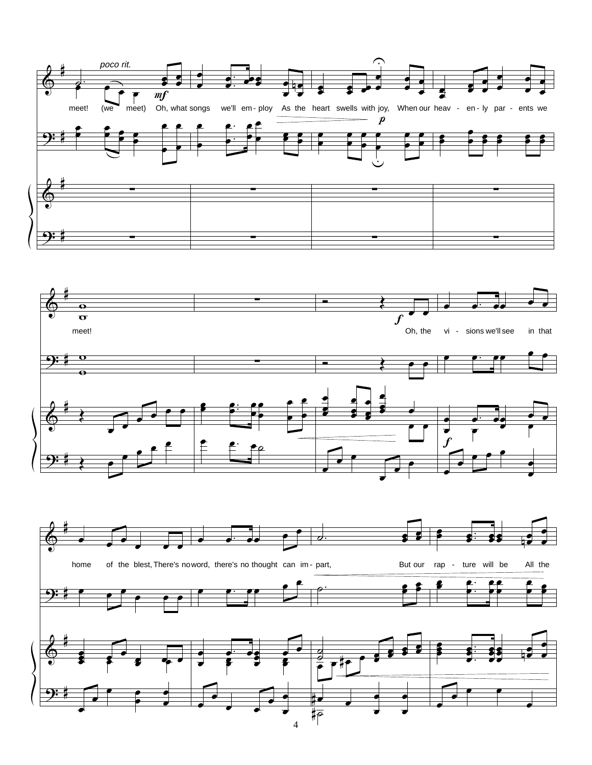